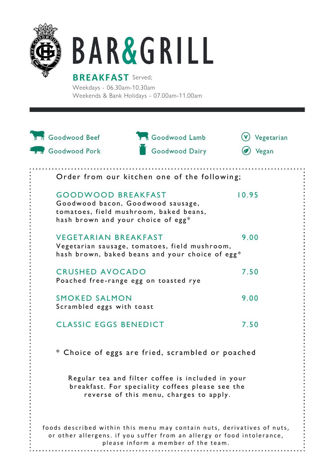

## **BAR&GRILL**

**BREAKFAST** Served; Weekdays - 06.30am-10.30am Weekends & Bank Holidays - 07.00am-11.00am

| <b>IDI</b> Goodwood Beef                                        | <b>The Goodwood Lamb</b>                                                                                                                                                                 | Vegetarian |
|-----------------------------------------------------------------|------------------------------------------------------------------------------------------------------------------------------------------------------------------------------------------|------------|
| <b>B</b> Goodwood Pork                                          | Goodwood Dairy                                                                                                                                                                           | Vegan      |
|                                                                 | Order from our kitchen one of the following;                                                                                                                                             |            |
| <b>GOODWOOD BREAKFAST</b><br>hash brown and your choice of egg* | Goodwood bacon, Goodwood sausage,<br>tomatoes, field mushroom, baked beans,                                                                                                              | 10.95      |
| <b>VEGETARIAN BREAKFAST</b>                                     | Vegetarian sausage, tomatoes, field mushroom,<br>hash brown, baked beans and your choice of egg*                                                                                         | 9.00       |
| <b>CRUSHED AVOCADO</b>                                          | Poached free-range egg on toasted rye                                                                                                                                                    | 7.50       |
| <b>SMOKED SALMON</b><br>Scrambled eggs with toast               |                                                                                                                                                                                          | 9.00       |
| <b>CLASSIC EGGS BENEDICT</b>                                    |                                                                                                                                                                                          | 7.50       |
|                                                                 | * Choice of eggs are fried, scrambled or poached                                                                                                                                         |            |
|                                                                 | Regular tea and filter coffee is included in your<br>breakfast. For speciality coffees please see the<br>reverse of this menu, charges to apply.                                         |            |
|                                                                 | foods described within this menu may contain nuts, derivatives of nuts,<br>or other allergens. if you suffer from an allergy or food intolerance,<br>please inform a member of the team. |            |